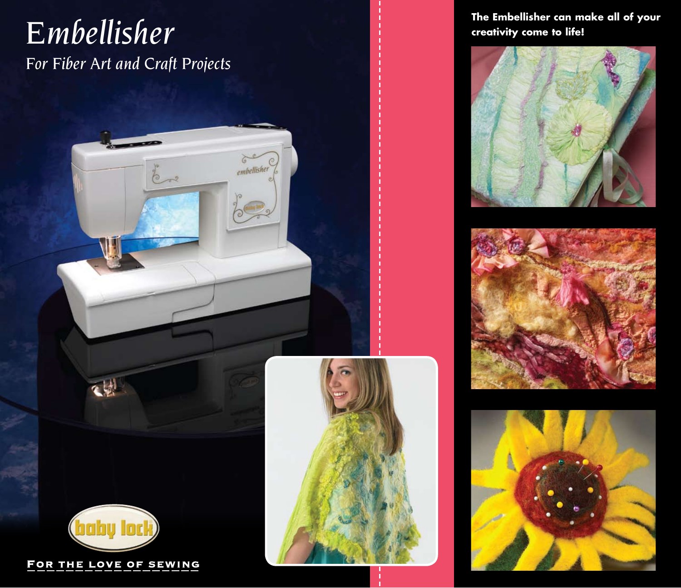# **The Embellisher can make all of your** *Embellisher* **creativity come to life!** *For Fiber Art and Craft Projects*

embellisher











《剧

FOR THE LOVE OF SEWING